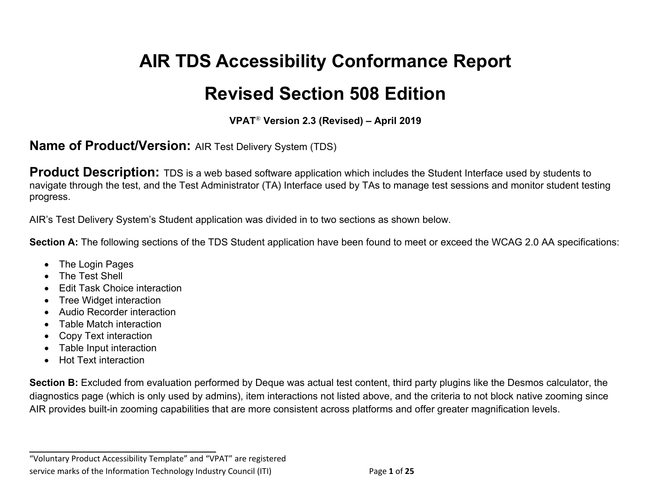# **Revised Section 508 Edition AIR TDS Accessibility Conformance Report**

 **VPAT**® **Version 2.3 (Revised) – April 2019** 

#### **Name of Product/Version:** AIR Test Delivery System (TDS)

**Product Description:** TDS is a web based software application which includes the Student Interface used by students to navigate through the test, and the Test Administrator (TA) Interface used by TAs to manage test sessions and monitor student testing progress.

progress.<br>AIR's Test Delivery System's Student application was divided in to two sections as shown below.

Section A: The following sections of the TDS Student application have been found to meet or exceed the WCAG 2.0 AA specifications:

- The Login Pages
- The Test Shell
- Edit Task Choice interaction
- Tree Widget interaction
- Audio Recorder interaction
- Table Match interaction
- Copy Text interaction
- Table Input interaction
- Hot Text interaction

Section B: Excluded from evaluation performed by Deque was actual test content, third party plugins like the Desmos calculator, the diagnostics page (which is only used by admins), item interactions not listed above, and the criteria to not block native zooming since AIR provides built-in zooming capabilities that are more consistent across platforms and offer greater magnification levels.

 "Voluntary Product Accessibility Template" and "VPAT" are registered service marks of the Information Technology Industry Council (ITI) Page **1** of **25** 

**\_\_\_\_\_\_\_\_\_\_\_\_\_\_\_\_\_\_\_\_\_\_\_\_\_\_\_\_\_\_\_\_\_\_**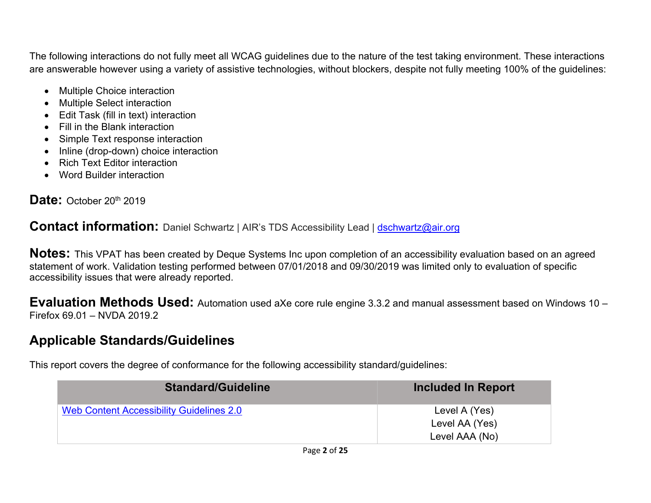The following interactions do not fully meet all WCAG guidelines due to the nature of the test taking environment. These interactions are answerable however using a variety of assistive technologies, without blockers, despite not fully meeting 100% of the guidelines:

- Multiple Choice interaction
- Multiple Select interaction
- Edit Task (fill in text) interaction
- Fill in the Blank interaction
- Simple Text response interaction
- Inline (drop-down) choice interaction
- Rich Text Editor interaction
- Word Builder interaction

#### Date: October 20<sup>th</sup> 2019

Contact information: Daniel Schwartz | AIR's TDS Accessibility Lead | [dschwartz@air.org](mailto:dschwartz@air.org)

 **Notes:** This VPAT has been created by Deque Systems Inc upon completion of an accessibility evaluation based on an agreed statement of work. Validation testing performed between 07/01/2018 and 09/30/2019 was limited only to evaluation of specific accessibility issues that were already reported.

 **Evaluation Methods Used:** Automation used aXe core rule engine 3.3.2 and manual assessment based on Windows 10 – Firefox 69.01 – NVDA 2019.2

#### **Applicable Standards/Guidelines**

This report covers the degree of conformance for the following accessibility standard/guidelines:

| <b>Standard/Guideline</b>                | <b>Included In Report</b> |
|------------------------------------------|---------------------------|
| Web Content Accessibility Guidelines 2.0 | Level A (Yes)             |
|                                          | Level AA (Yes)            |
|                                          | Level AAA (No)            |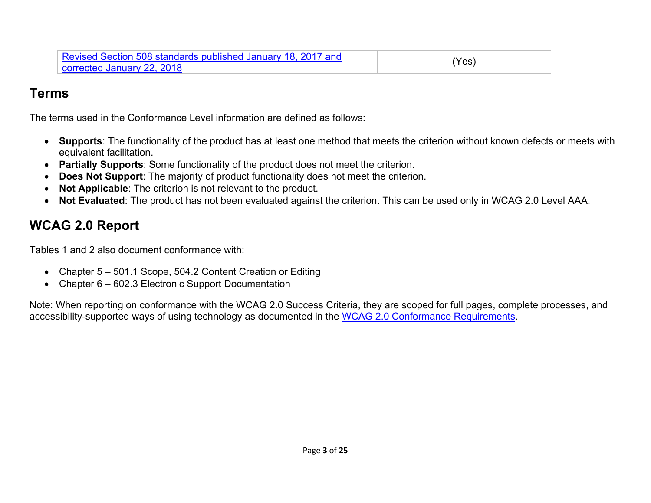#### **Terms**

The terms used in the Conformance Level information are defined as follows:

- • **Supports**: The functionality of the product has at least one method that meets the criterion without known defects or meets with equivalent facilitation.
- **Partially Supports**: Some functionality of the product does not meet the criterion.
- **Does Not Support**: The majority of product functionality does not meet the criterion.
- **Not Applicable**: The criterion is not relevant to the product.
- **Not Evaluated**: The product has not been evaluated against the criterion. This can be used only in WCAG 2.0 Level AAA.

## **WCAG 2.0 Report**

Tables 1 and 2 also document conformance with:

- Chapter 5 501.1 Scope, 504.2 Content Creation or Editing
- Chapter 6 602.3 Electronic Support Documentation

 Note: When reporting on conformance with the WCAG 2.0 Success Criteria, they are scoped for full pages, complete processes, and accessibility-supported ways of using technology as documented in the WCAG 2.0 Conformance Requirements.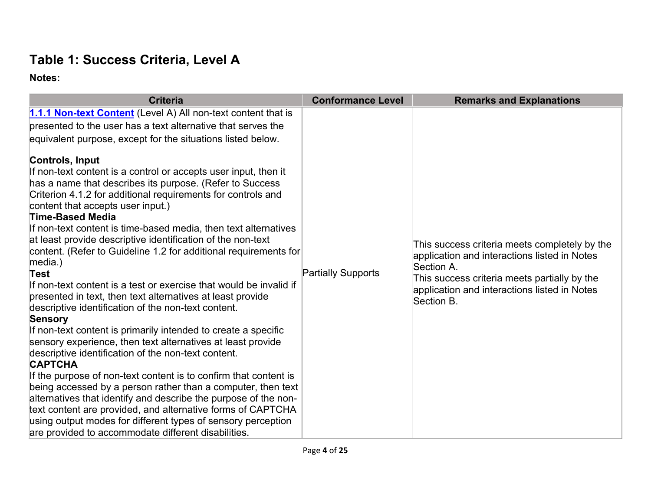#### **Table 1: Success Criteria, Level A**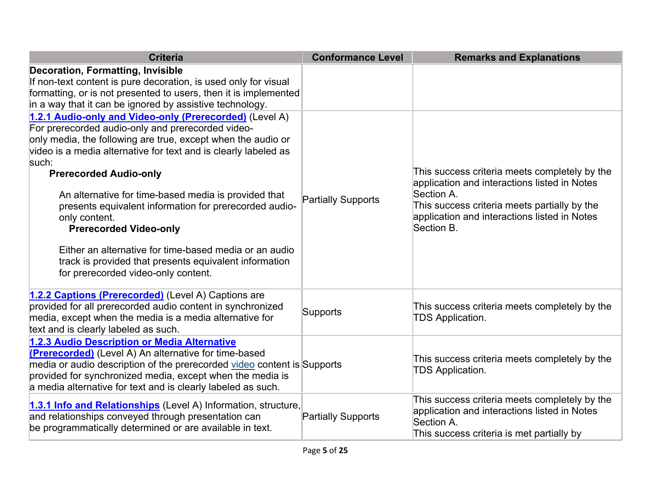| <b>Criteria</b>                                                                                                                                                                                                                                                                                                                                                                                                                                                                                                                                                                                                          | <b>Conformance Level</b>  | <b>Remarks and Explanations</b>                                                                                                                                                                                           |
|--------------------------------------------------------------------------------------------------------------------------------------------------------------------------------------------------------------------------------------------------------------------------------------------------------------------------------------------------------------------------------------------------------------------------------------------------------------------------------------------------------------------------------------------------------------------------------------------------------------------------|---------------------------|---------------------------------------------------------------------------------------------------------------------------------------------------------------------------------------------------------------------------|
| <b>Decoration, Formatting, Invisible</b><br>If non-text content is pure decoration, is used only for visual<br>formatting, or is not presented to users, then it is implemented<br>in a way that it can be ignored by assistive technology.                                                                                                                                                                                                                                                                                                                                                                              |                           |                                                                                                                                                                                                                           |
| 1.2.1 Audio-only and Video-only (Prerecorded) (Level A)<br>For prerecorded audio-only and prerecorded video-<br>only media, the following are true, except when the audio or<br>video is a media alternative for text and is clearly labeled as<br>such:<br><b>Prerecorded Audio-only</b><br>An alternative for time-based media is provided that<br>presents equivalent information for prerecorded audio-<br>only content.<br><b>Prerecorded Video-only</b><br>Either an alternative for time-based media or an audio<br>track is provided that presents equivalent information<br>for prerecorded video-only content. | <b>Partially Supports</b> | This success criteria meets completely by the<br>application and interactions listed in Notes<br>Section A.<br>This success criteria meets partially by the<br>application and interactions listed in Notes<br>Section B. |
| 1.2.2 Captions (Prerecorded) (Level A) Captions are<br>provided for all prerecorded audio content in synchronized<br>media, except when the media is a media alternative for<br>text and is clearly labeled as such.                                                                                                                                                                                                                                                                                                                                                                                                     | Supports                  | This success criteria meets completely by the<br><b>TDS Application.</b>                                                                                                                                                  |
| 1.2.3 Audio Description or Media Alternative<br><b>(Prerecorded)</b> (Level A) An alternative for time-based<br>media or audio description of the prerecorded video content is Supports<br>provided for synchronized media, except when the media is<br>a media alternative for text and is clearly labeled as such.                                                                                                                                                                                                                                                                                                     |                           | This success criteria meets completely by the<br><b>TDS Application.</b>                                                                                                                                                  |
| 1.3.1 Info and Relationships (Level A) Information, structure,<br>and relationships conveyed through presentation can<br>be programmatically determined or are available in text.                                                                                                                                                                                                                                                                                                                                                                                                                                        | Partially Supports        | This success criteria meets completely by the<br>application and interactions listed in Notes<br>Section A.<br>This success criteria is met partially by                                                                  |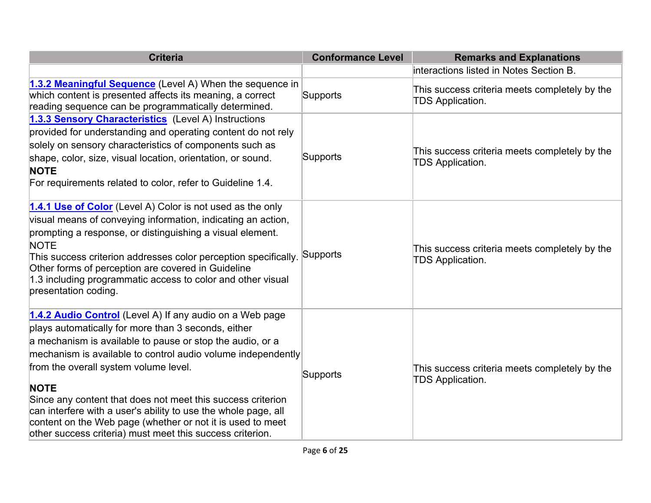| <b>Criteria</b>                                                                                                                                                                                                                                                                                                                                                                                                                                                                                                                                                  | <b>Conformance Level</b> | <b>Remarks and Explanations</b>                                          |
|------------------------------------------------------------------------------------------------------------------------------------------------------------------------------------------------------------------------------------------------------------------------------------------------------------------------------------------------------------------------------------------------------------------------------------------------------------------------------------------------------------------------------------------------------------------|--------------------------|--------------------------------------------------------------------------|
|                                                                                                                                                                                                                                                                                                                                                                                                                                                                                                                                                                  |                          | interactions listed in Notes Section B.                                  |
| 1.3.2 Meaningful Sequence (Level A) When the sequence in<br>which content is presented affects its meaning, a correct<br>reading sequence can be programmatically determined.                                                                                                                                                                                                                                                                                                                                                                                    | Supports                 | This success criteria meets completely by the<br><b>TDS Application.</b> |
| 1.3.3 Sensory Characteristics (Level A) Instructions<br>provided for understanding and operating content do not rely<br>solely on sensory characteristics of components such as<br>shape, color, size, visual location, orientation, or sound.<br><b>NOTE</b><br>For requirements related to color, refer to Guideline 1.4.                                                                                                                                                                                                                                      | Supports                 | This success criteria meets completely by the<br><b>TDS Application.</b> |
| 1.4.1 Use of Color (Level A) Color is not used as the only<br>visual means of conveying information, indicating an action,<br>prompting a response, or distinguishing a visual element.<br><b>NOTE</b><br>This success criterion addresses color perception specifically.<br>Other forms of perception are covered in Guideline<br>1.3 including programmatic access to color and other visual<br>presentation coding.                                                                                                                                           | Supports                 | This success criteria meets completely by the<br><b>TDS Application.</b> |
| 1.4.2 Audio Control (Level A) If any audio on a Web page<br>plays automatically for more than 3 seconds, either<br>a mechanism is available to pause or stop the audio, or a<br>mechanism is available to control audio volume independently<br>from the overall system volume level.<br><b>NOTE</b><br>Since any content that does not meet this success criterion<br>can interfere with a user's ability to use the whole page, all<br>content on the Web page (whether or not it is used to meet<br>other success criteria) must meet this success criterion. | Supports                 | This success criteria meets completely by the<br><b>TDS Application.</b> |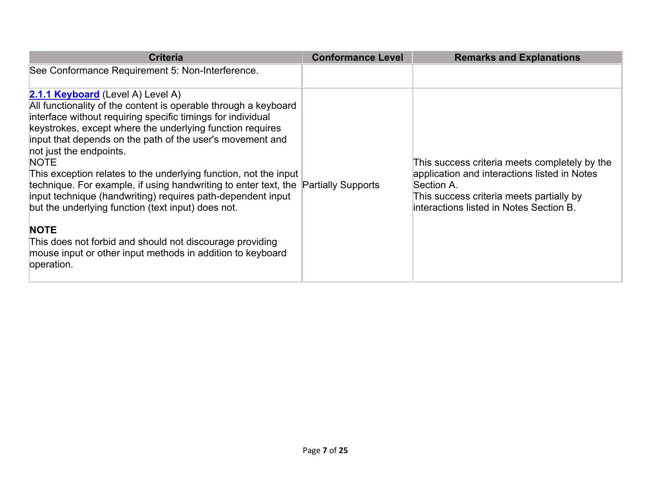| <b>Criteria</b>                                                                                                                                                                                                                                                                                                                                                                                                                                                                                                                                                                                                                                                                                                                                                                      | <b>Conformance Level</b> | <b>Remarks and Explanations</b>                                                                                                                                                                    |
|--------------------------------------------------------------------------------------------------------------------------------------------------------------------------------------------------------------------------------------------------------------------------------------------------------------------------------------------------------------------------------------------------------------------------------------------------------------------------------------------------------------------------------------------------------------------------------------------------------------------------------------------------------------------------------------------------------------------------------------------------------------------------------------|--------------------------|----------------------------------------------------------------------------------------------------------------------------------------------------------------------------------------------------|
| See Conformance Requirement 5: Non-Interference.                                                                                                                                                                                                                                                                                                                                                                                                                                                                                                                                                                                                                                                                                                                                     |                          |                                                                                                                                                                                                    |
| <b>2.1.1 Keyboard</b> (Level A) Level A)<br>All functionality of the content is operable through a keyboard<br>interface without requiring specific timings for individual<br>keystrokes, except where the underlying function requires<br>input that depends on the path of the user's movement and<br>not just the endpoints.<br><b>NOTE</b><br>This exception relates to the underlying function, not the input<br>technique. For example, if using handwriting to enter text, the Partially Supports<br>input technique (handwriting) requires path-dependent input<br>but the underlying function (text input) does not.<br><b>NOTE</b><br>This does not forbid and should not discourage providing<br>mouse input or other input methods in addition to keyboard<br>operation. |                          | This success criteria meets completely by the<br>application and interactions listed in Notes<br>Section A.<br>This success criteria meets partially by<br>interactions listed in Notes Section B. |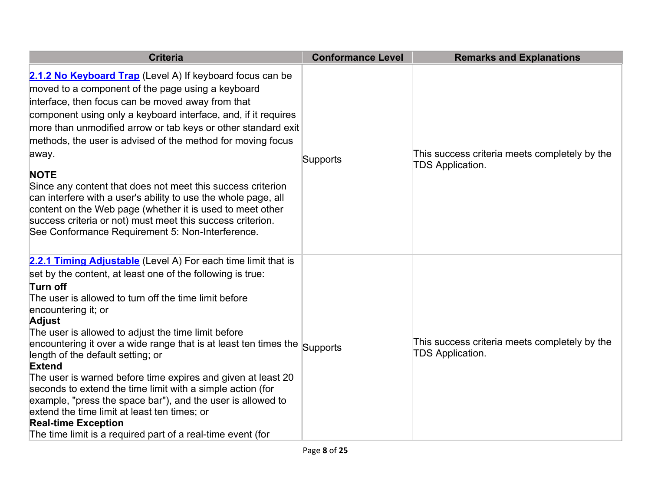| <b>Criteria</b>                                                                                                                                                                                                                                                                                                                                                                                                                                                                                                                                                                                                                                                                                                                                                                      | <b>Conformance Level</b> | <b>Remarks and Explanations</b>                                          |
|--------------------------------------------------------------------------------------------------------------------------------------------------------------------------------------------------------------------------------------------------------------------------------------------------------------------------------------------------------------------------------------------------------------------------------------------------------------------------------------------------------------------------------------------------------------------------------------------------------------------------------------------------------------------------------------------------------------------------------------------------------------------------------------|--------------------------|--------------------------------------------------------------------------|
| 2.1.2 No Keyboard Trap (Level A) If keyboard focus can be<br>moved to a component of the page using a keyboard<br>interface, then focus can be moved away from that<br>component using only a keyboard interface, and, if it requires<br>more than unmodified arrow or tab keys or other standard exit<br>methods, the user is advised of the method for moving focus<br>away.<br><b>NOTE</b><br>Since any content that does not meet this success criterion<br>can interfere with a user's ability to use the whole page, all<br>content on the Web page (whether it is used to meet other<br>success criteria or not) must meet this success criterion.<br>See Conformance Requirement 5: Non-Interference.                                                                        | Supports                 | This success criteria meets completely by the<br><b>TDS Application.</b> |
| 2.2.1 Timing Adjustable (Level A) For each time limit that is<br>set by the content, at least one of the following is true:<br>Turn off<br>The user is allowed to turn off the time limit before<br>encountering it; or<br><b>Adjust</b><br>The user is allowed to adjust the time limit before<br>encountering it over a wide range that is at least ten times the $ _{\mathsf{Supports}}$<br>length of the default setting; or<br>Extend<br>The user is warned before time expires and given at least 20<br>seconds to extend the time limit with a simple action (for<br>example, "press the space bar"), and the user is allowed to<br>extend the time limit at least ten times; or<br><b>Real-time Exception</b><br>The time limit is a required part of a real-time event (for |                          | This success criteria meets completely by the<br><b>TDS Application.</b> |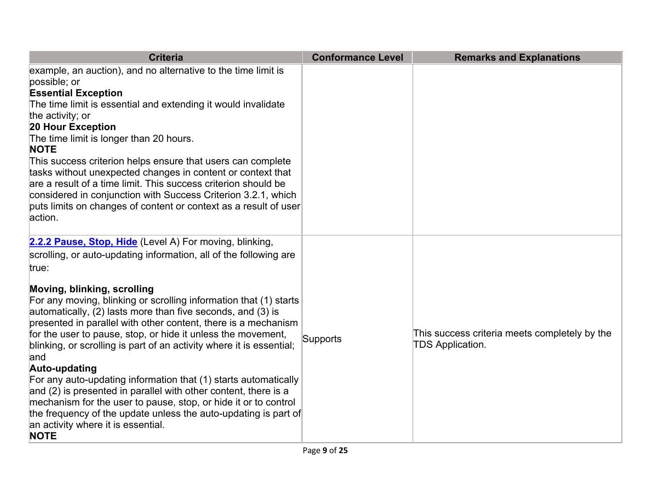| <b>Criteria</b>                                                                                                                                                                                                                                                                                                                                                                                                                                                                                                                                                                                                                                                                                                                                                                                                                                              | <b>Conformance Level</b> | <b>Remarks and Explanations</b>                                          |
|--------------------------------------------------------------------------------------------------------------------------------------------------------------------------------------------------------------------------------------------------------------------------------------------------------------------------------------------------------------------------------------------------------------------------------------------------------------------------------------------------------------------------------------------------------------------------------------------------------------------------------------------------------------------------------------------------------------------------------------------------------------------------------------------------------------------------------------------------------------|--------------------------|--------------------------------------------------------------------------|
| example, an auction), and no alternative to the time limit is<br>possible; or<br><b>Essential Exception</b><br>The time limit is essential and extending it would invalidate<br>the activity; or<br>20 Hour Exception<br>The time limit is longer than 20 hours.<br><b>NOTE</b><br>This success criterion helps ensure that users can complete<br>tasks without unexpected changes in content or context that<br>are a result of a time limit. This success criterion should be<br>considered in conjunction with Success Criterion 3.2.1, which<br>puts limits on changes of content or context as a result of user<br>action.                                                                                                                                                                                                                              |                          |                                                                          |
| 2.2.2 Pause, Stop, Hide (Level A) For moving, blinking,<br>scrolling, or auto-updating information, all of the following are<br>true:<br>Moving, blinking, scrolling<br>For any moving, blinking or scrolling information that (1) starts<br>automatically, (2) lasts more than five seconds, and (3) is<br>presented in parallel with other content, there is a mechanism<br>for the user to pause, stop, or hide it unless the movement,<br>blinking, or scrolling is part of an activity where it is essential;<br>and<br>Auto-updating<br>For any auto-updating information that (1) starts automatically<br>and (2) is presented in parallel with other content, there is a<br>mechanism for the user to pause, stop, or hide it or to control<br>the frequency of the update unless the auto-updating is part of<br>an activity where it is essential. | Supports                 | This success criteria meets completely by the<br><b>TDS Application.</b> |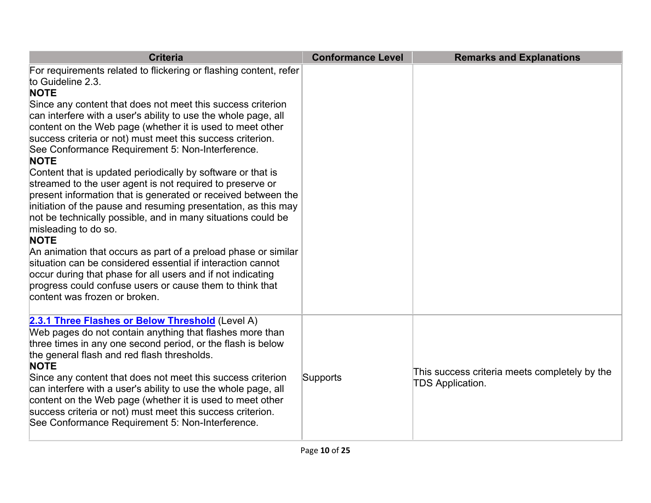| <b>Criteria</b>                                                                                                                                                                                                                                                                                                                                                                                                                                                                                                                                                                                                                                                                                                                                                                                                                                                                                                                                                                                                                                                                                         | <b>Conformance Level</b> | <b>Remarks and Explanations</b>                                   |
|---------------------------------------------------------------------------------------------------------------------------------------------------------------------------------------------------------------------------------------------------------------------------------------------------------------------------------------------------------------------------------------------------------------------------------------------------------------------------------------------------------------------------------------------------------------------------------------------------------------------------------------------------------------------------------------------------------------------------------------------------------------------------------------------------------------------------------------------------------------------------------------------------------------------------------------------------------------------------------------------------------------------------------------------------------------------------------------------------------|--------------------------|-------------------------------------------------------------------|
| For requirements related to flickering or flashing content, refer<br>to Guideline 2.3.<br><b>NOTE</b><br>Since any content that does not meet this success criterion<br>can interfere with a user's ability to use the whole page, all<br>content on the Web page (whether it is used to meet other<br>success criteria or not) must meet this success criterion.<br>See Conformance Requirement 5: Non-Interference.<br><b>NOTE</b><br>Content that is updated periodically by software or that is<br>streamed to the user agent is not required to preserve or<br>present information that is generated or received between the<br>initiation of the pause and resuming presentation, as this may<br>not be technically possible, and in many situations could be<br>misleading to do so.<br><b>NOTE</b><br>An animation that occurs as part of a preload phase or similar<br>situation can be considered essential if interaction cannot<br>occur during that phase for all users and if not indicating<br>progress could confuse users or cause them to think that<br>content was frozen or broken. |                          |                                                                   |
| 2.3.1 Three Flashes or Below Threshold (Level A)<br>Web pages do not contain anything that flashes more than<br>three times in any one second period, or the flash is below<br>the general flash and red flash thresholds.<br><b>NOTE</b><br>Since any content that does not meet this success criterion<br>can interfere with a user's ability to use the whole page, all<br>content on the Web page (whether it is used to meet other<br>success criteria or not) must meet this success criterion.<br>See Conformance Requirement 5: Non-Interference.                                                                                                                                                                                                                                                                                                                                                                                                                                                                                                                                               | Supports                 | This success criteria meets completely by the<br>TDS Application. |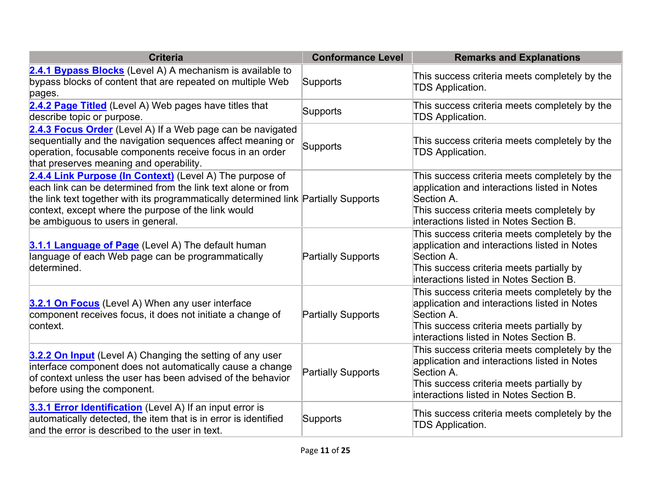| <b>Criteria</b>                                                                                                                                                                                                                                                                                             | <b>Conformance Level</b>  | <b>Remarks and Explanations</b>                                                                                                                                                                     |
|-------------------------------------------------------------------------------------------------------------------------------------------------------------------------------------------------------------------------------------------------------------------------------------------------------------|---------------------------|-----------------------------------------------------------------------------------------------------------------------------------------------------------------------------------------------------|
| 2.4.1 Bypass Blocks (Level A) A mechanism is available to<br>bypass blocks of content that are repeated on multiple Web<br>pages.                                                                                                                                                                           | Supports                  | This success criteria meets completely by the<br><b>TDS Application.</b>                                                                                                                            |
| 2.4.2 Page Titled (Level A) Web pages have titles that<br>describe topic or purpose.                                                                                                                                                                                                                        | Supports                  | This success criteria meets completely by the<br><b>TDS Application.</b>                                                                                                                            |
| 2.4.3 Focus Order (Level A) If a Web page can be navigated<br>sequentially and the navigation sequences affect meaning or<br>operation, focusable components receive focus in an order<br>that preserves meaning and operability.                                                                           | Supports                  | This success criteria meets completely by the<br><b>TDS Application.</b>                                                                                                                            |
| 2.4.4 Link Purpose (In Context) (Level A) The purpose of<br>each link can be determined from the link text alone or from<br>the link text together with its programmatically determined link Partially Supports<br>context, except where the purpose of the link would<br>be ambiguous to users in general. |                           | This success criteria meets completely by the<br>application and interactions listed in Notes<br>Section A.<br>This success criteria meets completely by<br>interactions listed in Notes Section B. |
| 3.1.1 Language of Page (Level A) The default human<br>language of each Web page can be programmatically<br>determined.                                                                                                                                                                                      | <b>Partially Supports</b> | This success criteria meets completely by the<br>application and interactions listed in Notes<br>Section A.<br>This success criteria meets partially by<br>interactions listed in Notes Section B.  |
| 3.2.1 On Focus (Level A) When any user interface<br>component receives focus, it does not initiate a change of<br>context.                                                                                                                                                                                  | <b>Partially Supports</b> | This success criteria meets completely by the<br>application and interactions listed in Notes<br>Section A.<br>This success criteria meets partially by<br>interactions listed in Notes Section B.  |
| 3.2.2 On Input (Level A) Changing the setting of any user<br>interface component does not automatically cause a change<br>of context unless the user has been advised of the behavior<br>before using the component.                                                                                        | <b>Partially Supports</b> | This success criteria meets completely by the<br>application and interactions listed in Notes<br>Section A.<br>This success criteria meets partially by<br>interactions listed in Notes Section B.  |
| 3.3.1 Error Identification (Level A) If an input error is<br>automatically detected, the item that is in error is identified<br>and the error is described to the user in text.                                                                                                                             | Supports                  | This success criteria meets completely by the<br><b>TDS Application.</b>                                                                                                                            |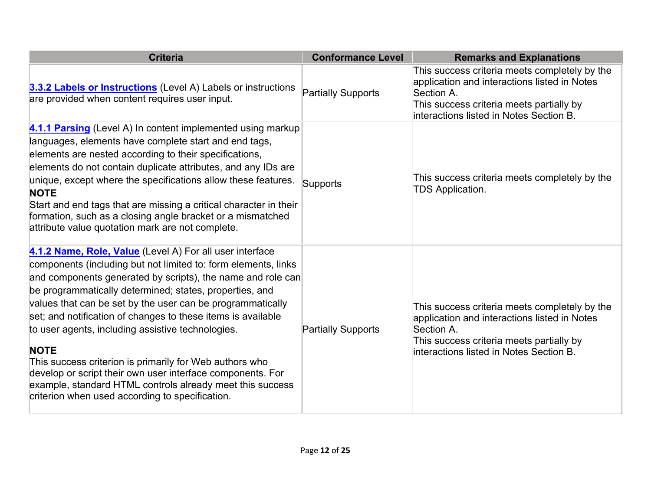| <b>Criteria</b>                                                                                                                                                                                                                                                                                                                                                                                                                                                                                                                                                                                                                                                                                 | <b>Conformance Level</b>  | <b>Remarks and Explanations</b>                                                                                                                                                                    |
|-------------------------------------------------------------------------------------------------------------------------------------------------------------------------------------------------------------------------------------------------------------------------------------------------------------------------------------------------------------------------------------------------------------------------------------------------------------------------------------------------------------------------------------------------------------------------------------------------------------------------------------------------------------------------------------------------|---------------------------|----------------------------------------------------------------------------------------------------------------------------------------------------------------------------------------------------|
| 3.3.2 Labels or Instructions (Level A) Labels or instructions<br>are provided when content requires user input.                                                                                                                                                                                                                                                                                                                                                                                                                                                                                                                                                                                 | <b>Partially Supports</b> | This success criteria meets completely by the<br>application and interactions listed in Notes<br>Section A.<br>This success criteria meets partially by<br>interactions listed in Notes Section B. |
| 4.1.1 Parsing (Level A) In content implemented using markup<br>languages, elements have complete start and end tags,<br>elements are nested according to their specifications,<br>elements do not contain duplicate attributes, and any IDs are<br>unique, except where the specifications allow these features.<br><b>NOTE</b><br>Start and end tags that are missing a critical character in their<br>formation, such as a closing angle bracket or a mismatched<br>attribute value quotation mark are not complete.                                                                                                                                                                          | Supports                  | This success criteria meets completely by the<br><b>TDS Application.</b>                                                                                                                           |
| 4.1.2 Name, Role, Value (Level A) For all user interface<br>components (including but not limited to: form elements, links<br>and components generated by scripts), the name and role can<br>be programmatically determined; states, properties, and<br>values that can be set by the user can be programmatically<br>set; and notification of changes to these items is available<br>to user agents, including assistive technologies.<br><b>NOTE</b><br>This success criterion is primarily for Web authors who<br>develop or script their own user interface components. For<br>example, standard HTML controls already meet this success<br>criterion when used according to specification. | <b>Partially Supports</b> | This success criteria meets completely by the<br>application and interactions listed in Notes<br>Section A.<br>This success criteria meets partially by<br>interactions listed in Notes Section B. |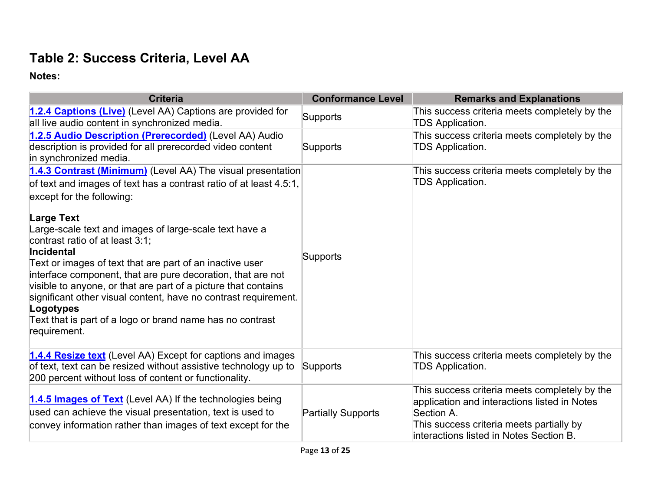## **Table 2: Success Criteria, Level AA**

| <b>Criteria</b>                                                                                                                                                                                                                                                                                                                                                                                                                                                   | <b>Conformance Level</b>  | <b>Remarks and Explanations</b>                                                                                                                                                                    |
|-------------------------------------------------------------------------------------------------------------------------------------------------------------------------------------------------------------------------------------------------------------------------------------------------------------------------------------------------------------------------------------------------------------------------------------------------------------------|---------------------------|----------------------------------------------------------------------------------------------------------------------------------------------------------------------------------------------------|
| 1.2.4 Captions (Live) (Level AA) Captions are provided for<br>all live audio content in synchronized media.                                                                                                                                                                                                                                                                                                                                                       | <b>Supports</b>           | This success criteria meets completely by the<br><b>TDS Application.</b>                                                                                                                           |
| 1.2.5 Audio Description (Prerecorded) (Level AA) Audio<br>description is provided for all prerecorded video content<br>in synchronized media.                                                                                                                                                                                                                                                                                                                     | Supports                  | This success criteria meets completely by the<br><b>TDS Application.</b>                                                                                                                           |
| 1.4.3 Contrast (Minimum) (Level AA) The visual presentation<br>of text and images of text has a contrast ratio of at least 4.5:1,<br>except for the following:<br>Large Text                                                                                                                                                                                                                                                                                      |                           | This success criteria meets completely by the<br><b>TDS Application.</b>                                                                                                                           |
| Large-scale text and images of large-scale text have a<br>contrast ratio of at least 3:1;<br>Incidental<br>Text or images of text that are part of an inactive user<br>interface component, that are pure decoration, that are not<br>visible to anyone, or that are part of a picture that contains<br>significant other visual content, have no contrast requirement.<br>Logotypes<br>Text that is part of a logo or brand name has no contrast<br>requirement. | Supports                  |                                                                                                                                                                                                    |
| 1.4.4 Resize text (Level AA) Except for captions and images<br>of text, text can be resized without assistive technology up to<br>200 percent without loss of content or functionality.                                                                                                                                                                                                                                                                           | Supports                  | This success criteria meets completely by the<br><b>TDS Application.</b>                                                                                                                           |
| 1.4.5 Images of Text (Level AA) If the technologies being<br>used can achieve the visual presentation, text is used to<br>convey information rather than images of text except for the                                                                                                                                                                                                                                                                            | <b>Partially Supports</b> | This success criteria meets completely by the<br>application and interactions listed in Notes<br>Section A.<br>This success criteria meets partially by<br>interactions listed in Notes Section B. |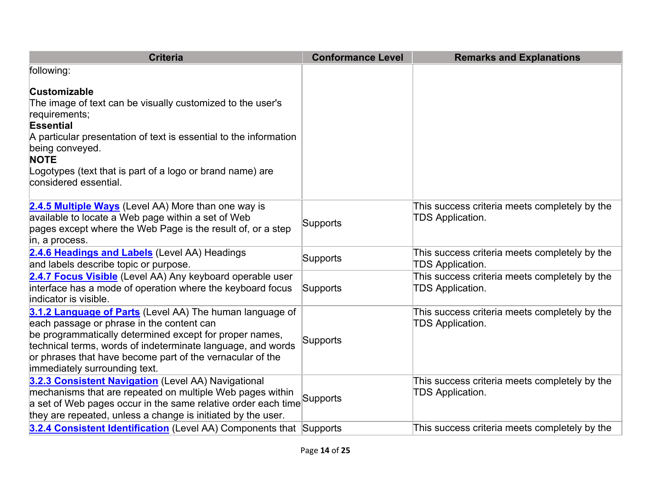| <b>Criteria</b>                                                                                                                                                                                                                                                                                                               | <b>Conformance Level</b> | <b>Remarks and Explanations</b>                                          |
|-------------------------------------------------------------------------------------------------------------------------------------------------------------------------------------------------------------------------------------------------------------------------------------------------------------------------------|--------------------------|--------------------------------------------------------------------------|
| following:                                                                                                                                                                                                                                                                                                                    |                          |                                                                          |
| <b>Customizable</b><br>The image of text can be visually customized to the user's<br>requirements;<br><b>Essential</b>                                                                                                                                                                                                        |                          |                                                                          |
| A particular presentation of text is essential to the information<br>being conveyed.<br><b>NOTE</b>                                                                                                                                                                                                                           |                          |                                                                          |
| Logotypes (text that is part of a logo or brand name) are<br>considered essential.                                                                                                                                                                                                                                            |                          |                                                                          |
| 2.4.5 Multiple Ways (Level AA) More than one way is<br>available to locate a Web page within a set of Web<br>pages except where the Web Page is the result of, or a step<br>in, a process.                                                                                                                                    | Supports                 | This success criteria meets completely by the<br><b>TDS Application.</b> |
| 2.4.6 Headings and Labels (Level AA) Headings<br>and labels describe topic or purpose.                                                                                                                                                                                                                                        | Supports                 | This success criteria meets completely by the<br>TDS Application.        |
| 2.4.7 Focus Visible (Level AA) Any keyboard operable user<br>interface has a mode of operation where the keyboard focus<br>indicator is visible.                                                                                                                                                                              | Supports                 | This success criteria meets completely by the<br><b>TDS Application.</b> |
| 3.1.2 Language of Parts (Level AA) The human language of<br>each passage or phrase in the content can<br>be programmatically determined except for proper names,<br>technical terms, words of indeterminate language, and words<br>or phrases that have become part of the vernacular of the<br>immediately surrounding text. | Supports                 | This success criteria meets completely by the<br><b>TDS Application.</b> |
| 3.2.3 Consistent Navigation (Level AA) Navigational<br>mechanisms that are repeated on multiple Web pages within<br>a set of Web pages occur in the same relative order each time<br>they are repeated, unless a change is initiated by the user.                                                                             | Supports                 | This success criteria meets completely by the<br>TDS Application.        |
| 3.2.4 Consistent Identification (Level AA) Components that Supports                                                                                                                                                                                                                                                           |                          | This success criteria meets completely by the                            |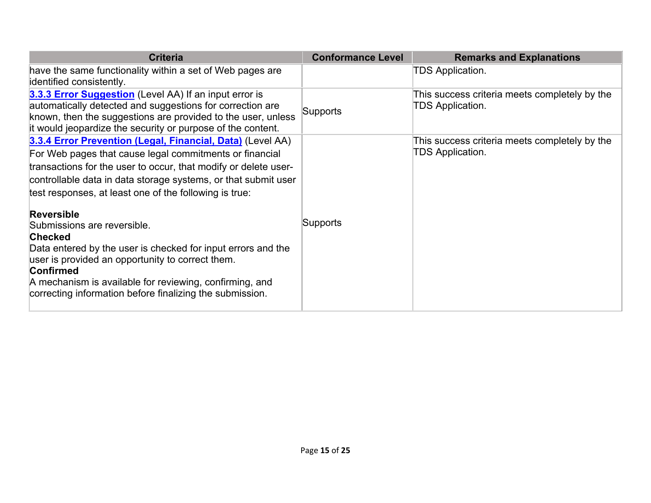| <b>Criteria</b>                                                                                                                                                                                                                                                                                                                                                                                                                                                                                                                                                                                                                                    | <b>Conformance Level</b> | <b>Remarks and Explanations</b>                                          |
|----------------------------------------------------------------------------------------------------------------------------------------------------------------------------------------------------------------------------------------------------------------------------------------------------------------------------------------------------------------------------------------------------------------------------------------------------------------------------------------------------------------------------------------------------------------------------------------------------------------------------------------------------|--------------------------|--------------------------------------------------------------------------|
| have the same functionality within a set of Web pages are<br>identified consistently.                                                                                                                                                                                                                                                                                                                                                                                                                                                                                                                                                              |                          | <b>TDS Application.</b>                                                  |
| 3.3.3 Error Suggestion (Level AA) If an input error is<br>automatically detected and suggestions for correction are<br>known, then the suggestions are provided to the user, unless<br>it would jeopardize the security or purpose of the content.                                                                                                                                                                                                                                                                                                                                                                                                 | <b>Supports</b>          | This success criteria meets completely by the<br>TDS Application.        |
| 3.3.4 Error Prevention (Legal, Financial, Data) (Level AA)<br>For Web pages that cause legal commitments or financial<br>transactions for the user to occur, that modify or delete user-<br>controllable data in data storage systems, or that submit user<br>test responses, at least one of the following is true:<br><b>Reversible</b><br>Submissions are reversible.<br><b>Checked</b><br>Data entered by the user is checked for input errors and the<br>user is provided an opportunity to correct them.<br>Confirmed<br>A mechanism is available for reviewing, confirming, and<br>correcting information before finalizing the submission. | Supports                 | This success criteria meets completely by the<br><b>TDS Application.</b> |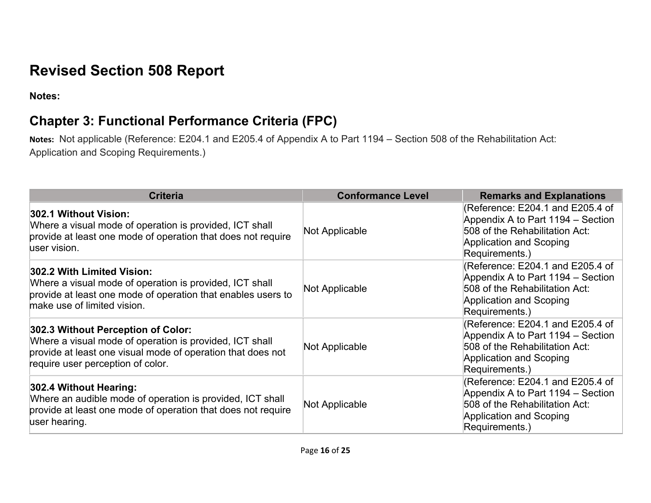# **Revised Section 508 Report**

Notes:

# **Notes: Chapter 3: Functional Performance Criteria (FPC)**

 **Notes:** Not applicable (Reference: E204.1 and E205.4 of Appendix A to Part 1194 – Section 508 of the Rehabilitation Act: Application and Scoping Requirements.)

| <b>Criteria</b>                                                                                                                                                                                   | <b>Conformance Level</b> | <b>Remarks and Explanations</b>                                                                                                                      |
|---------------------------------------------------------------------------------------------------------------------------------------------------------------------------------------------------|--------------------------|------------------------------------------------------------------------------------------------------------------------------------------------------|
| 302.1 Without Vision:<br>Where a visual mode of operation is provided, ICT shall<br>provide at least one mode of operation that does not require<br>user vision.                                  | Not Applicable           | (Reference: E204.1 and E205.4 of<br>Appendix A to Part 1194 – Section<br>508 of the Rehabilitation Act:<br>Application and Scoping<br>Requirements.) |
| 302.2 With Limited Vision:<br>Where a visual mode of operation is provided, ICT shall<br>provide at least one mode of operation that enables users to<br>make use of limited vision.              | Not Applicable           | (Reference: E204.1 and E205.4 of<br>Appendix A to Part 1194 – Section<br>508 of the Rehabilitation Act:<br>Application and Scoping<br>Requirements.) |
| 302.3 Without Perception of Color:<br>Where a visual mode of operation is provided, ICT shall<br>provide at least one visual mode of operation that does not<br>require user perception of color. | Not Applicable           | (Reference: E204.1 and E205.4 of<br>Appendix A to Part 1194 – Section<br>508 of the Rehabilitation Act:<br>Application and Scoping<br>Requirements.) |
| 302.4 Without Hearing:<br>Where an audible mode of operation is provided, ICT shall<br>provide at least one mode of operation that does not require<br>user hearing.                              | Not Applicable           | (Reference: E204.1 and E205.4 of<br>Appendix A to Part 1194 – Section<br>508 of the Rehabilitation Act:<br>Application and Scoping<br>Requirements.) |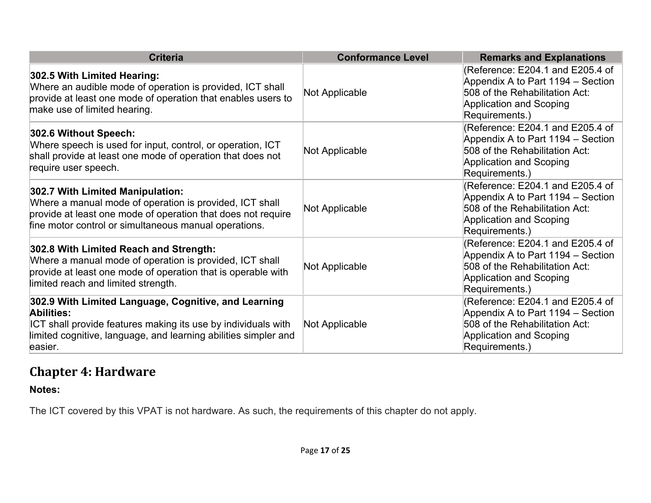| <b>Criteria</b>                                                                                                                                                                                                      | <b>Conformance Level</b> | <b>Remarks and Explanations</b>                                                                                                                             |
|----------------------------------------------------------------------------------------------------------------------------------------------------------------------------------------------------------------------|--------------------------|-------------------------------------------------------------------------------------------------------------------------------------------------------------|
| 302.5 With Limited Hearing:<br>Where an audible mode of operation is provided, ICT shall<br>provide at least one mode of operation that enables users to<br>make use of limited hearing.                             | Not Applicable           | (Reference: E204.1 and E205.4 of<br>Appendix A to Part 1194 - Section<br>508 of the Rehabilitation Act:<br>Application and Scoping<br>Requirements.)        |
| 302.6 Without Speech:<br>Where speech is used for input, control, or operation, ICT<br>shall provide at least one mode of operation that does not<br>require user speech.                                            | Not Applicable           | (Reference: E204.1 and E205.4 of<br>Appendix A to Part 1194 – Section<br>508 of the Rehabilitation Act:<br><b>Application and Scoping</b><br>Requirements.) |
| 302.7 With Limited Manipulation:<br>Where a manual mode of operation is provided, ICT shall<br>provide at least one mode of operation that does not require<br>fine motor control or simultaneous manual operations. | Not Applicable           | (Reference: E204.1 and E205.4 of<br>Appendix A to Part 1194 – Section<br>508 of the Rehabilitation Act:<br>Application and Scoping<br>Requirements.)        |
| 302.8 With Limited Reach and Strength:<br>Where a manual mode of operation is provided, ICT shall<br>provide at least one mode of operation that is operable with<br>limited reach and limited strength.             | Not Applicable           | (Reference: E204.1 and E205.4 of<br>Appendix A to Part 1194 – Section<br>508 of the Rehabilitation Act:<br>Application and Scoping<br>Requirements.)        |
| 302.9 With Limited Language, Cognitive, and Learning<br>Abilities:<br>ICT shall provide features making its use by individuals with<br>limited cognitive, language, and learning abilities simpler and<br>easier.    | Not Applicable           | (Reference: E204.1 and E205.4 of<br>Appendix A to Part 1194 – Section<br>508 of the Rehabilitation Act:<br>Application and Scoping<br>Requirements.)        |

#### **Chapter 4: Hardware**

 **Notes:** 

The ICT covered by this VPAT is not hardware. As such, the requirements of this chapter do not apply.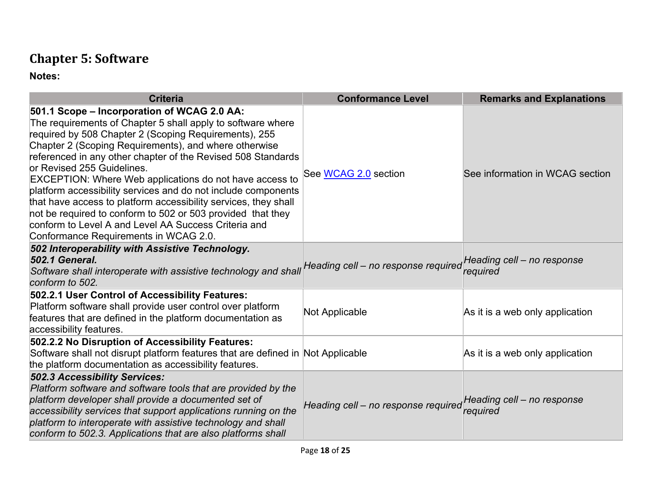# **Chapter 5: Software**

| <b>Criteria</b>                                                                                                                                                                                                                                                                                                                                                                                                                                                                                                                                                                                                                                                                                  | <b>Conformance Level</b>            | <b>Remarks and Explanations</b>        |
|--------------------------------------------------------------------------------------------------------------------------------------------------------------------------------------------------------------------------------------------------------------------------------------------------------------------------------------------------------------------------------------------------------------------------------------------------------------------------------------------------------------------------------------------------------------------------------------------------------------------------------------------------------------------------------------------------|-------------------------------------|----------------------------------------|
| 501.1 Scope - Incorporation of WCAG 2.0 AA:<br>The requirements of Chapter 5 shall apply to software where<br>required by 508 Chapter 2 (Scoping Requirements), 255<br>Chapter 2 (Scoping Requirements), and where otherwise<br>referenced in any other chapter of the Revised 508 Standards<br>or Revised 255 Guidelines.<br><b>EXCEPTION: Where Web applications do not have access to</b><br>platform accessibility services and do not include components<br>that have access to platform accessibility services, they shall<br>not be required to conform to 502 or 503 provided that they<br>conform to Level A and Level AA Success Criteria and<br>Conformance Requirements in WCAG 2.0. | See WCAG 2.0 section                | See information in WCAG section        |
| 502 Interoperability with Assistive Technology.<br><b>502.1 General.</b><br>Software shall interoperate with assistive technology and shall<br>conform to 502.                                                                                                                                                                                                                                                                                                                                                                                                                                                                                                                                   | Heading cell - no response required | Heading cell - no response<br>required |
| 502.2.1 User Control of Accessibility Features:<br>Platform software shall provide user control over platform<br>features that are defined in the platform documentation as<br>accessibility features.                                                                                                                                                                                                                                                                                                                                                                                                                                                                                           | Not Applicable                      | As it is a web only application        |
| 502.2.2 No Disruption of Accessibility Features:<br>Software shall not disrupt platform features that are defined in Not Applicable<br>the platform documentation as accessibility features.                                                                                                                                                                                                                                                                                                                                                                                                                                                                                                     |                                     | As it is a web only application        |
| <b>502.3 Accessibility Services:</b><br>Platform software and software tools that are provided by the<br>platform developer shall provide a documented set of<br>accessibility services that support applications running on the<br>platform to interoperate with assistive technology and shall<br>conform to 502.3. Applications that are also platforms shall                                                                                                                                                                                                                                                                                                                                 | Heading cell - no response required | Heading cell - no response<br>required |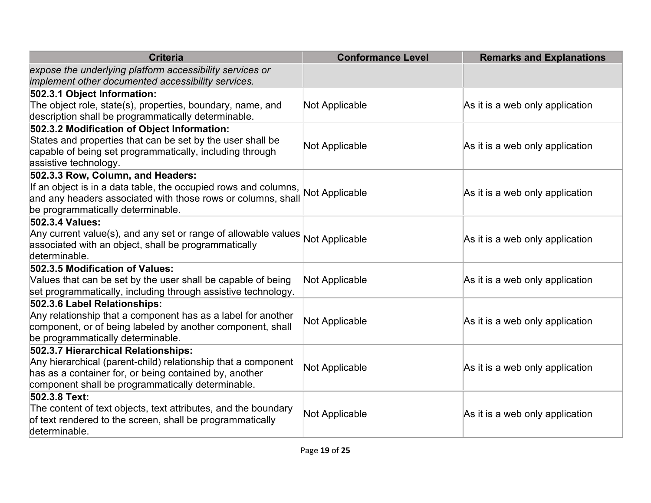| <b>Criteria</b>                                                                                                   | <b>Conformance Level</b> | <b>Remarks and Explanations</b> |
|-------------------------------------------------------------------------------------------------------------------|--------------------------|---------------------------------|
| expose the underlying platform accessibility services or<br>implement other documented accessibility services.    |                          |                                 |
| 502.3.1 Object Information:                                                                                       |                          |                                 |
| The object role, state(s), properties, boundary, name, and<br>description shall be programmatically determinable. | Not Applicable           | As it is a web only application |
| 502.3.2 Modification of Object Information:                                                                       |                          |                                 |
| States and properties that can be set by the user shall be                                                        | Not Applicable           | As it is a web only application |
| capable of being set programmatically, including through                                                          |                          |                                 |
| assistive technology.                                                                                             |                          |                                 |
| 502.3.3 Row, Column, and Headers:                                                                                 |                          |                                 |
| If an object is in a data table, the occupied rows and columns, Not Applicable                                    |                          | As it is a web only application |
| and any headers associated with those rows or columns, shall                                                      |                          |                                 |
| be programmatically determinable.                                                                                 |                          |                                 |
| 502.3.4 Values:                                                                                                   |                          |                                 |
| Any current value(s), and any set or range of allowable values                                                    | Not Applicable           | As it is a web only application |
| associated with an object, shall be programmatically                                                              |                          |                                 |
| determinable.                                                                                                     |                          |                                 |
| 502.3.5 Modification of Values:                                                                                   |                          |                                 |
| Values that can be set by the user shall be capable of being                                                      | Not Applicable           | As it is a web only application |
| set programmatically, including through assistive technology.                                                     |                          |                                 |
| 502.3.6 Label Relationships:                                                                                      |                          |                                 |
| Any relationship that a component has as a label for another                                                      |                          |                                 |
| component, or of being labeled by another component, shall                                                        | Not Applicable           | As it is a web only application |
| be programmatically determinable.                                                                                 |                          |                                 |
| 502.3.7 Hierarchical Relationships:                                                                               |                          |                                 |
| Any hierarchical (parent-child) relationship that a component                                                     | Not Applicable           | As it is a web only application |
| has as a container for, or being contained by, another                                                            |                          |                                 |
| component shall be programmatically determinable.                                                                 |                          |                                 |
| 502.3.8 Text:                                                                                                     |                          |                                 |
| The content of text objects, text attributes, and the boundary                                                    | Not Applicable           | As it is a web only application |
| of text rendered to the screen, shall be programmatically                                                         |                          |                                 |
| determinable.                                                                                                     |                          |                                 |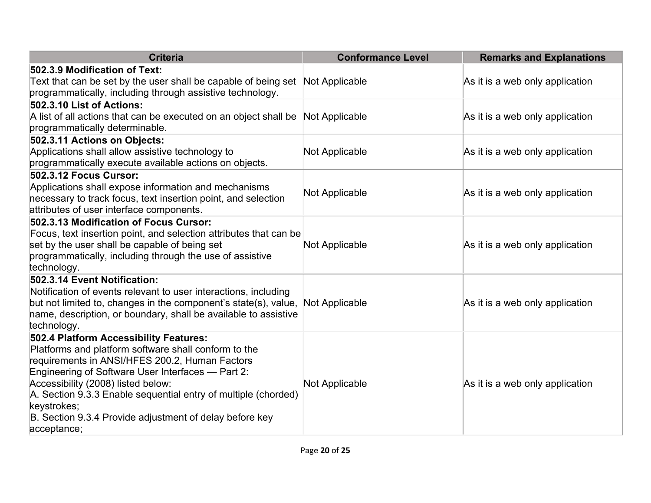| <b>Criteria</b>                                                                                                                            | <b>Conformance Level</b> | <b>Remarks and Explanations</b> |
|--------------------------------------------------------------------------------------------------------------------------------------------|--------------------------|---------------------------------|
| 502.3.9 Modification of Text:                                                                                                              |                          |                                 |
| Text that can be set by the user shall be capable of being set Not Applicable<br>programmatically, including through assistive technology. |                          | As it is a web only application |
| 502.3.10 List of Actions:                                                                                                                  |                          |                                 |
| A list of all actions that can be executed on an object shall be                                                                           | Not Applicable           | As it is a web only application |
| programmatically determinable.                                                                                                             |                          |                                 |
| 502.3.11 Actions on Objects:                                                                                                               |                          |                                 |
| Applications shall allow assistive technology to                                                                                           | Not Applicable           | As it is a web only application |
| programmatically execute available actions on objects.                                                                                     |                          |                                 |
| <b>502.3.12 Focus Cursor:</b>                                                                                                              |                          |                                 |
| Applications shall expose information and mechanisms                                                                                       | Not Applicable           | As it is a web only application |
| hecessary to track focus, text insertion point, and selection                                                                              |                          |                                 |
| attributes of user interface components.                                                                                                   |                          |                                 |
| 502.3.13 Modification of Focus Cursor:                                                                                                     |                          |                                 |
| Focus, text insertion point, and selection attributes that can be<br>set by the user shall be capable of being set                         |                          |                                 |
| programmatically, including through the use of assistive                                                                                   | Not Applicable           | As it is a web only application |
| technology.                                                                                                                                |                          |                                 |
| 502.3.14 Event Notification:                                                                                                               |                          |                                 |
| Notification of events relevant to user interactions, including                                                                            |                          |                                 |
| but not limited to, changes in the component's state(s), value,                                                                            | Not Applicable           | As it is a web only application |
| hame, description, or boundary, shall be available to assistive                                                                            |                          |                                 |
| technology.                                                                                                                                |                          |                                 |
| 502.4 Platform Accessibility Features:                                                                                                     |                          |                                 |
| Platforms and platform software shall conform to the                                                                                       |                          |                                 |
| requirements in ANSI/HFES 200.2, Human Factors                                                                                             |                          |                                 |
| Engineering of Software User Interfaces - Part 2:                                                                                          |                          |                                 |
| Accessibility (2008) listed below:                                                                                                         | Not Applicable           | As it is a web only application |
| A. Section 9.3.3 Enable sequential entry of multiple (chorded)                                                                             |                          |                                 |
| keystrokes;                                                                                                                                |                          |                                 |
| B. Section 9.3.4 Provide adjustment of delay before key                                                                                    |                          |                                 |
| acceptance;                                                                                                                                |                          |                                 |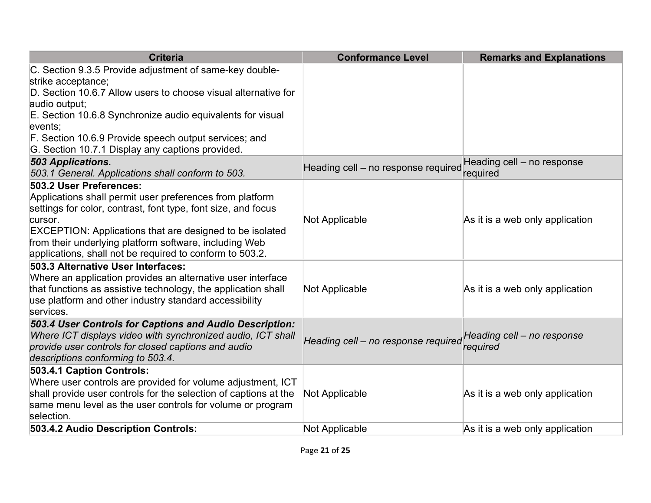| <b>Criteria</b>                                                                                                                                                                                                                                                                                                                                          | <b>Conformance Level</b>            | <b>Remarks and Explanations</b>        |
|----------------------------------------------------------------------------------------------------------------------------------------------------------------------------------------------------------------------------------------------------------------------------------------------------------------------------------------------------------|-------------------------------------|----------------------------------------|
| C. Section 9.3.5 Provide adjustment of same-key double-<br>strike acceptance;                                                                                                                                                                                                                                                                            |                                     |                                        |
| D. Section 10.6.7 Allow users to choose visual alternative for<br>audio output;                                                                                                                                                                                                                                                                          |                                     |                                        |
| E. Section 10.6.8 Synchronize audio equivalents for visual<br>events;                                                                                                                                                                                                                                                                                    |                                     |                                        |
| F. Section 10.6.9 Provide speech output services; and<br>G. Section 10.7.1 Display any captions provided.                                                                                                                                                                                                                                                |                                     |                                        |
| 503 Applications.<br>503.1 General. Applications shall conform to 503.                                                                                                                                                                                                                                                                                   | Heading cell - no response required | Heading cell - no response<br>required |
| 503.2 User Preferences:<br>Applications shall permit user preferences from platform<br>settings for color, contrast, font type, font size, and focus<br>cursor.<br><b>EXCEPTION: Applications that are designed to be isolated</b><br>from their underlying platform software, including Web<br>applications, shall not be required to conform to 503.2. | Not Applicable                      | As it is a web only application        |
| 503.3 Alternative User Interfaces:<br>Where an application provides an alternative user interface<br>that functions as assistive technology, the application shall<br>use platform and other industry standard accessibility<br>services.                                                                                                                | Not Applicable                      | As it is a web only application        |
| 503.4 User Controls for Captions and Audio Description:<br>Where ICT displays video with synchronized audio, ICT shall<br>provide user controls for closed captions and audio<br>descriptions conforming to 503.4.                                                                                                                                       | Heading cell - no response required | Heading cell - no response<br>required |
| 503.4.1 Caption Controls:<br>Where user controls are provided for volume adjustment, ICT<br>shall provide user controls for the selection of captions at the<br>same menu level as the user controls for volume or program<br>selection.                                                                                                                 | Not Applicable                      | As it is a web only application        |
| 503.4.2 Audio Description Controls:                                                                                                                                                                                                                                                                                                                      | Not Applicable                      | As it is a web only application        |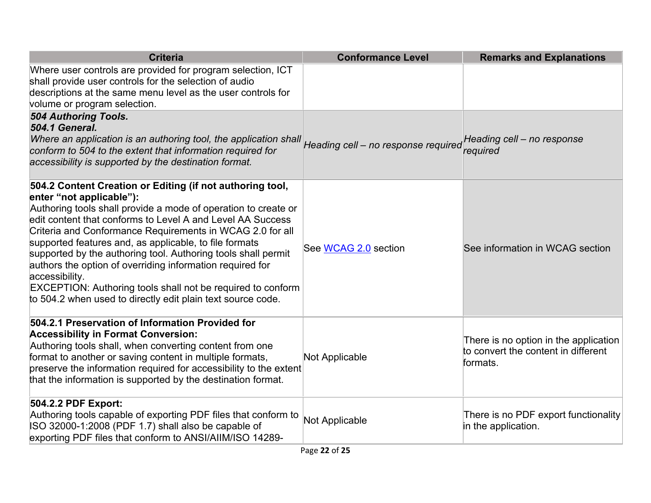| <b>Criteria</b>                                                                                                                                                                                                                                                                                                                                                                                                                                                                                                                                                                                                                   | <b>Conformance Level</b>            | <b>Remarks and Explanations</b>                                                          |
|-----------------------------------------------------------------------------------------------------------------------------------------------------------------------------------------------------------------------------------------------------------------------------------------------------------------------------------------------------------------------------------------------------------------------------------------------------------------------------------------------------------------------------------------------------------------------------------------------------------------------------------|-------------------------------------|------------------------------------------------------------------------------------------|
| Where user controls are provided for program selection, ICT<br>shall provide user controls for the selection of audio<br>descriptions at the same menu level as the user controls for<br>volume or program selection.                                                                                                                                                                                                                                                                                                                                                                                                             |                                     |                                                                                          |
| 504 Authoring Tools.<br><b>504.1 General.</b><br>Where an application is an authoring tool, the application shall<br>conform to 504 to the extent that information required for<br>accessibility is supported by the destination format.                                                                                                                                                                                                                                                                                                                                                                                          | Heading cell - no response required | Heading cell - no response<br>required                                                   |
| 504.2 Content Creation or Editing (if not authoring tool,<br>enter "not applicable"):<br>Authoring tools shall provide a mode of operation to create or<br>edit content that conforms to Level A and Level AA Success<br>Criteria and Conformance Requirements in WCAG 2.0 for all<br>supported features and, as applicable, to file formats<br>supported by the authoring tool. Authoring tools shall permit<br>authors the option of overriding information required for<br>accessibility.<br><b>EXCEPTION: Authoring tools shall not be required to conform</b><br>to 504.2 when used to directly edit plain text source code. | See WCAG 2.0 section                | See information in WCAG section                                                          |
| 504.2.1 Preservation of Information Provided for<br><b>Accessibility in Format Conversion:</b><br>Authoring tools shall, when converting content from one<br>format to another or saving content in multiple formats,<br>preserve the information required for accessibility to the extent<br>that the information is supported by the destination format.                                                                                                                                                                                                                                                                        | Not Applicable                      | There is no option in the application<br>to convert the content in different<br>formats. |
| 504.2.2 PDF Export:<br>Authoring tools capable of exporting PDF files that conform to<br>ISO 32000-1:2008 (PDF 1.7) shall also be capable of<br>exporting PDF files that conform to ANSI/AIIM/ISO 14289-                                                                                                                                                                                                                                                                                                                                                                                                                          | Not Applicable                      | There is no PDF export functionality<br>in the application.                              |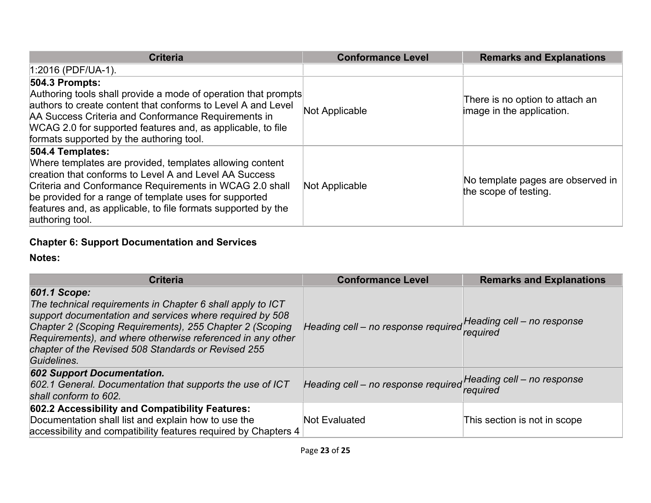| <b>Criteria</b>                                                                                                                                                                                                                                                                                                                                 | <b>Conformance Level</b> | <b>Remarks and Explanations</b>                              |
|-------------------------------------------------------------------------------------------------------------------------------------------------------------------------------------------------------------------------------------------------------------------------------------------------------------------------------------------------|--------------------------|--------------------------------------------------------------|
| $1:2016$ (PDF/UA-1).                                                                                                                                                                                                                                                                                                                            |                          |                                                              |
| <b>504.3 Prompts:</b><br>Authoring tools shall provide a mode of operation that prompts<br>authors to create content that conforms to Level A and Level<br>AA Success Criteria and Conformance Requirements in<br>WCAG 2.0 for supported features and, as applicable, to file<br>formats supported by the authoring tool.                       | Not Applicable           | There is no option to attach an<br>image in the application. |
| 504.4 Templates:<br>Where templates are provided, templates allowing content<br>creation that conforms to Level A and Level AA Success<br>Criteria and Conformance Requirements in WCAG 2.0 shall<br>be provided for a range of template uses for supported<br>features and, as applicable, to file formats supported by the<br>authoring tool. | Not Applicable           | No template pages are observed in<br>the scope of testing.   |

#### **Chapter 6: Support Documentation and Services**

| <b>Criteria</b>                                                                                                                                                                                                                                                                                                                        | <b>Conformance Level</b>                                       | <b>Remarks and Explanations</b> |
|----------------------------------------------------------------------------------------------------------------------------------------------------------------------------------------------------------------------------------------------------------------------------------------------------------------------------------------|----------------------------------------------------------------|---------------------------------|
| 601.1 Scope:<br>The technical requirements in Chapter 6 shall apply to ICT<br>support documentation and services where required by 508<br>Chapter 2 (Scoping Requirements), 255 Chapter 2 (Scoping<br>Requirements), and where otherwise referenced in any other<br>chapter of the Revised 508 Standards or Revised 255<br>Guidelines. | Heading cell - no response required Heading cell - no response | required                        |
| <b>602 Support Documentation.</b><br>602.1 General. Documentation that supports the use of ICT<br>shall conform to 602.                                                                                                                                                                                                                | Heading cell - no response required Heading cell - no response | required                        |
| 602.2 Accessibility and Compatibility Features:<br>Documentation shall list and explain how to use the<br>accessibility and compatibility features required by Chapters 4                                                                                                                                                              | Not Evaluated                                                  | This section is not in scope    |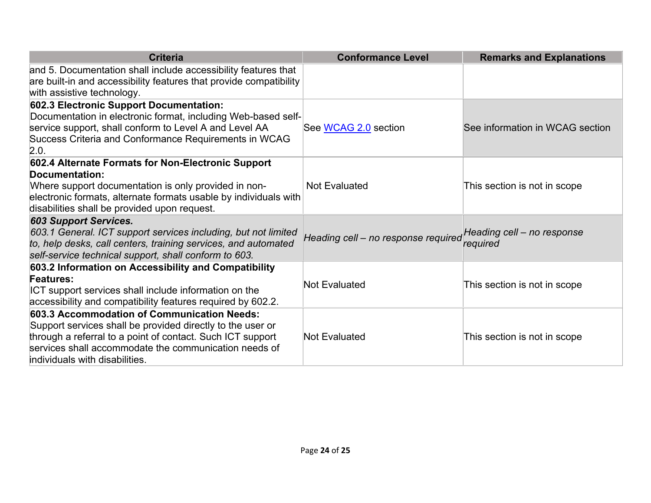| <b>Criteria</b>                                                                                                                                                                                                                                                    | <b>Conformance Level</b>            | <b>Remarks and Explanations</b>        |
|--------------------------------------------------------------------------------------------------------------------------------------------------------------------------------------------------------------------------------------------------------------------|-------------------------------------|----------------------------------------|
| and 5. Documentation shall include accessibility features that<br>are built-in and accessibility features that provide compatibility<br>with assistive technology.                                                                                                 |                                     |                                        |
| 602.3 Electronic Support Documentation:<br>Documentation in electronic format, including Web-based self-<br>service support, shall conform to Level A and Level AA<br>Success Criteria and Conformance Requirements in WCAG<br>2.0.                                | See WCAG 2.0 section                | See information in WCAG section        |
| 602.4 Alternate Formats for Non-Electronic Support<br>Documentation:<br>Where support documentation is only provided in non-<br>electronic formats, alternate formats usable by individuals with<br>disabilities shall be provided upon request.                   | Not Evaluated                       | This section is not in scope           |
| <b>603 Support Services.</b><br>603.1 General. ICT support services including, but not limited<br>to, help desks, call centers, training services, and automated<br>self-service technical support, shall conform to 603.                                          | Heading cell - no response required | Heading cell – no response<br>required |
| 603.2 Information on Accessibility and Compatibility<br><b>Features:</b><br>ICT support services shall include information on the<br>accessibility and compatibility features required by 602.2.                                                                   | <b>Not Evaluated</b>                | This section is not in scope           |
| 603.3 Accommodation of Communication Needs:<br>Support services shall be provided directly to the user or<br>through a referral to a point of contact. Such ICT support<br>services shall accommodate the communication needs of<br>individuals with disabilities. | <b>Not Evaluated</b>                | This section is not in scope           |